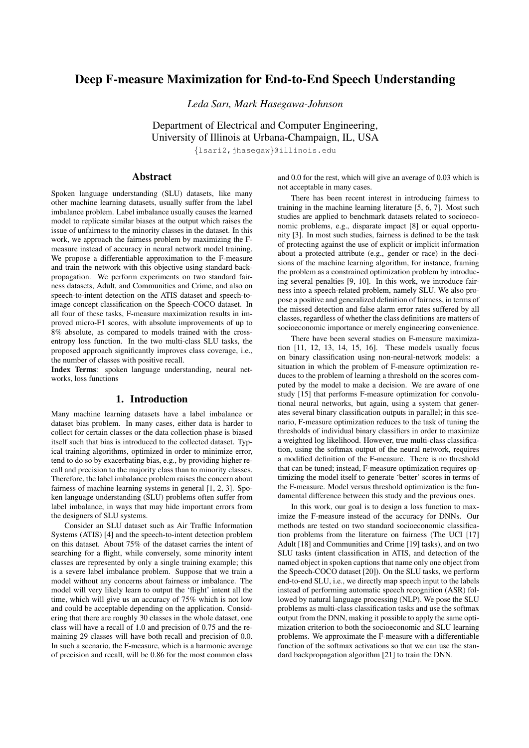# Deep F-measure Maximization for End-to-End Speech Understanding

*Leda Sarı, Mark Hasegawa-Johnson*

Department of Electrical and Computer Engineering, University of Illinois at Urbana-Champaign, IL, USA

{lsari2,jhasegaw}@illinois.edu

## Abstract

Spoken language understanding (SLU) datasets, like many other machine learning datasets, usually suffer from the label imbalance problem. Label imbalance usually causes the learned model to replicate similar biases at the output which raises the issue of unfairness to the minority classes in the dataset. In this work, we approach the fairness problem by maximizing the Fmeasure instead of accuracy in neural network model training. We propose a differentiable approximation to the F-measure and train the network with this objective using standard backpropagation. We perform experiments on two standard fairness datasets, Adult, and Communities and Crime, and also on speech-to-intent detection on the ATIS dataset and speech-toimage concept classification on the Speech-COCO dataset. In all four of these tasks, F-measure maximization results in improved micro-F1 scores, with absolute improvements of up to 8% absolute, as compared to models trained with the crossentropy loss function. In the two multi-class SLU tasks, the proposed approach significantly improves class coverage, i.e., the number of classes with positive recall.

Index Terms: spoken language understanding, neural networks, loss functions

#### 1. Introduction

Many machine learning datasets have a label imbalance or dataset bias problem. In many cases, either data is harder to collect for certain classes or the data collection phase is biased itself such that bias is introduced to the collected dataset. Typical training algorithms, optimized in order to minimize error, tend to do so by exacerbating bias, e.g., by providing higher recall and precision to the majority class than to minority classes. Therefore, the label imbalance problem raises the concern about fairness of machine learning systems in general [1, 2, 3]. Spoken language understanding (SLU) problems often suffer from label imbalance, in ways that may hide important errors from the designers of SLU systems.

Consider an SLU dataset such as Air Traffic Information Systems (ATIS) [4] and the speech-to-intent detection problem on this dataset. About 75% of the dataset carries the intent of searching for a flight, while conversely, some minority intent classes are represented by only a single training example; this is a severe label imbalance problem. Suppose that we train a model without any concerns about fairness or imbalance. The model will very likely learn to output the 'flight' intent all the time, which will give us an accuracy of 75% which is not low and could be acceptable depending on the application. Considering that there are roughly 30 classes in the whole dataset, one class will have a recall of 1.0 and precision of 0.75 and the remaining 29 classes will have both recall and precision of 0.0. In such a scenario, the F-measure, which is a harmonic average of precision and recall, will be 0.86 for the most common class and 0.0 for the rest, which will give an average of 0.03 which is not acceptable in many cases.

There has been recent interest in introducing fairness to training in the machine learning literature [5, 6, 7]. Most such studies are applied to benchmark datasets related to socioeconomic problems, e.g., disparate impact [8] or equal opportunity [3]. In most such studies, fairness is defined to be the task of protecting against the use of explicit or implicit information about a protected attribute (e.g., gender or race) in the decisions of the machine learning algorithm, for instance, framing the problem as a constrained optimization problem by introducing several penalties [9, 10]. In this work, we introduce fairness into a speech-related problem, namely SLU. We also propose a positive and generalized definition of fairness, in terms of the missed detection and false alarm error rates suffered by all classes, regardless of whether the class definitions are matters of socioeconomic importance or merely engineering convenience.

There have been several studies on F-measure maximization [11, 12, 13, 14, 15, 16]. These models usually focus on binary classification using non-neural-network models: a situation in which the problem of F-measure optimization reduces to the problem of learning a threshold on the scores computed by the model to make a decision. We are aware of one study [15] that performs F-measure optimization for convolutional neural networks, but again, using a system that generates several binary classification outputs in parallel; in this scenario, F-measure optimization reduces to the task of tuning the thresholds of individual binary classifiers in order to maximize a weighted log likelihood. However, true multi-class classification, using the softmax output of the neural network, requires a modified definition of the F-measure. There is no threshold that can be tuned; instead, F-measure optimization requires optimizing the model itself to generate 'better' scores in terms of the F-measure. Model versus threshold optimization is the fundamental difference between this study and the previous ones.

In this work, our goal is to design a loss function to maximize the F-measure instead of the accuracy for DNNs. Our methods are tested on two standard socioeconomic classification problems from the literature on fairness (The UCI [17] Adult [18] and Communities and Crime [19] tasks), and on two SLU tasks (intent classification in ATIS, and detection of the named object in spoken captions that name only one object from the Speech-COCO dataset [20]). On the SLU tasks, we perform end-to-end SLU, i.e., we directly map speech input to the labels instead of performing automatic speech recognition (ASR) followed by natural language processing (NLP). We pose the SLU problems as multi-class classification tasks and use the softmax output from the DNN, making it possible to apply the same optimization criterion to both the socioeconomic and SLU learning problems. We approximate the F-measure with a differentiable function of the softmax activations so that we can use the standard backpropagation algorithm [21] to train the DNN.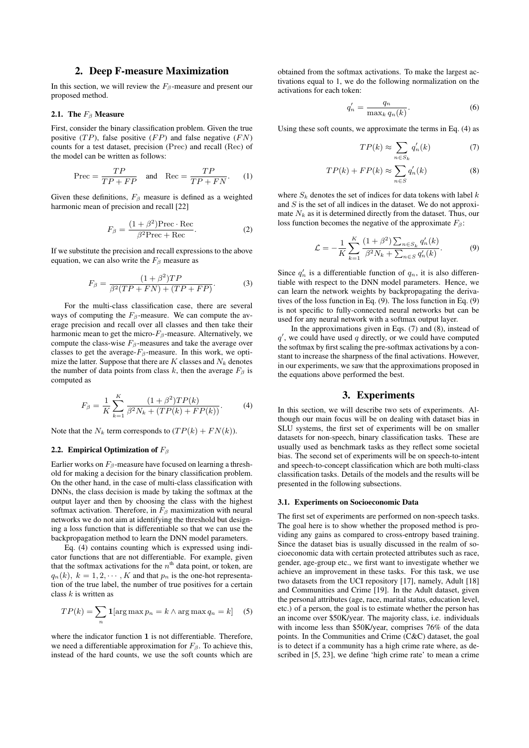### 2. Deep F-measure Maximization

In this section, we will review the  $F_\beta$ -measure and present our proposed method.

#### 2.1. The  $F_\beta$  Measure

First, consider the binary classification problem. Given the true positive  $(TP)$ , false positive  $(FP)$  and false negative  $(FN)$ counts for a test dataset, precision (Prec) and recall (Rec) of the model can be written as follows:

$$
\text{Prec} = \frac{TP}{TP + FP} \quad \text{and} \quad \text{Rec} = \frac{TP}{TP + FN}.\tag{1}
$$

Given these definitions,  $F_\beta$  measure is defined as a weighted harmonic mean of precision and recall [22]

$$
F_{\beta} = \frac{(1 + \beta^2) \text{Prec} \cdot \text{Rec}}{\beta^2 \text{Prec} + \text{Rec}}.
$$
 (2)

If we substitute the precision and recall expressions to the above equation, we can also write the  $F_\beta$  measure as

$$
F_{\beta} = \frac{(1+\beta^2)TP}{\beta^2(TP+FN) + (TP+FP)}.\tag{3}
$$

For the multi-class classification case, there are several ways of computing the  $F_\beta$ -measure. We can compute the average precision and recall over all classes and then take their harmonic mean to get the micro- $F_\beta$ -measure. Alternatively, we compute the class-wise  $F_\beta$ -measures and take the average over classes to get the average- $F_\beta$ -measure. In this work, we optimize the latter. Suppose that there are  $K$  classes and  $N_k$  denotes the number of data points from class k, then the average  $F_\beta$  is computed as

$$
F_{\beta} = \frac{1}{K} \sum_{k=1}^{K} \frac{(1+\beta^2)TP(k)}{\beta^2 N_k + (TP(k) + FP(k))}.
$$
 (4)

Note that the  $N_k$  term corresponds to  $(TP(k) + FN(k))$ .

#### 2.2. Empirical Optimization of  $F_\beta$

Earlier works on  $F_\beta$ -measure have focused on learning a threshold for making a decision for the binary classification problem. On the other hand, in the case of multi-class classification with DNNs, the class decision is made by taking the softmax at the output layer and then by choosing the class with the highest softmax activation. Therefore, in  $F_\beta$  maximization with neural networks we do not aim at identifying the threshold but designing a loss function that is differentiable so that we can use the backpropagation method to learn the DNN model parameters.

Eq. (4) contains counting which is expressed using indicator functions that are not differentiable. For example, given that the softmax activations for the  $n<sup>th</sup>$  data point, or token, are  $q_n(k)$ ,  $k = 1, 2, \dots, K$  and that  $p_n$  is the one-hot representation of the true label, the number of true positives for a certain class  $k$  is written as

$$
TP(k) = \sum_{n} \mathbf{1}[\arg \max p_n = k \wedge \arg \max q_n = k] \quad (5)
$$

where the indicator function 1 is not differentiable. Therefore, we need a differentiable approximation for  $F_\beta$ . To achieve this, instead of the hard counts, we use the soft counts which are obtained from the softmax activations. To make the largest activations equal to 1, we do the following normalization on the activations for each token:

$$
q'_n = \frac{q_n}{\max_k q_n(k)}.
$$
\n(6)

Using these soft counts, we approximate the terms in Eq. (4) as

$$
TP(k) \approx \sum_{n \in S_k} q'_n(k) \tag{7}
$$

$$
TP(k) + FP(k) \approx \sum_{n \in S} q'_n(k) \tag{8}
$$

where  $S_k$  denotes the set of indices for data tokens with label  $k$ and  $S$  is the set of all indices in the dataset. We do not approximate  $N_k$  as it is determined directly from the dataset. Thus, our loss function becomes the negative of the approximate  $F_\beta$ :

$$
\mathcal{L} = -\frac{1}{K} \sum_{k=1}^{K} \frac{(1+\beta^2) \sum_{n \in S_k} q'_n(k)}{\beta^2 N_k + \sum_{n \in S} q'_n(k)}.
$$
 (9)

Since  $q'_n$  is a differentiable function of  $q_n$ , it is also differentiable with respect to the DNN model parameters. Hence, we can learn the network weights by backpropagating the derivatives of the loss function in Eq. (9). The loss function in Eq. (9) is not specific to fully-connected neural networks but can be used for any neural network with a softmax output layer.

In the approximations given in Eqs.  $(7)$  and  $(8)$ , instead of  $q'$ , we could have used  $q$  directly, or we could have computed the softmax by first scaling the pre-softmax activations by a constant to increase the sharpness of the final activations. However, in our experiments, we saw that the approximations proposed in the equations above performed the best.

#### 3. Experiments

In this section, we will describe two sets of experiments. Although our main focus will be on dealing with dataset bias in SLU systems, the first set of experiments will be on smaller datasets for non-speech, binary classification tasks. These are usually used as benchmark tasks as they reflect some societal bias. The second set of experiments will be on speech-to-intent and speech-to-concept classification which are both multi-class classification tasks. Details of the models and the results will be presented in the following subsections.

#### 3.1. Experiments on Socioeconomic Data

The first set of experiments are performed on non-speech tasks. The goal here is to show whether the proposed method is providing any gains as compared to cross-entropy based training. Since the dataset bias is usually discussed in the realm of socioeconomic data with certain protected attributes such as race, gender, age-group etc., we first want to investigate whether we achieve an improvement in these tasks. For this task, we use two datasets from the UCI repository [17], namely, Adult [18] and Communities and Crime [19]. In the Adult dataset, given the personal attributes (age, race, marital status, education level, etc.) of a person, the goal is to estimate whether the person has an income over \$50K/year. The majority class, i.e. individuals with income less than \$50K/year, comprises 76% of the data points. In the Communities and Crime (C&C) dataset, the goal is to detect if a community has a high crime rate where, as described in [5, 23], we define 'high crime rate' to mean a crime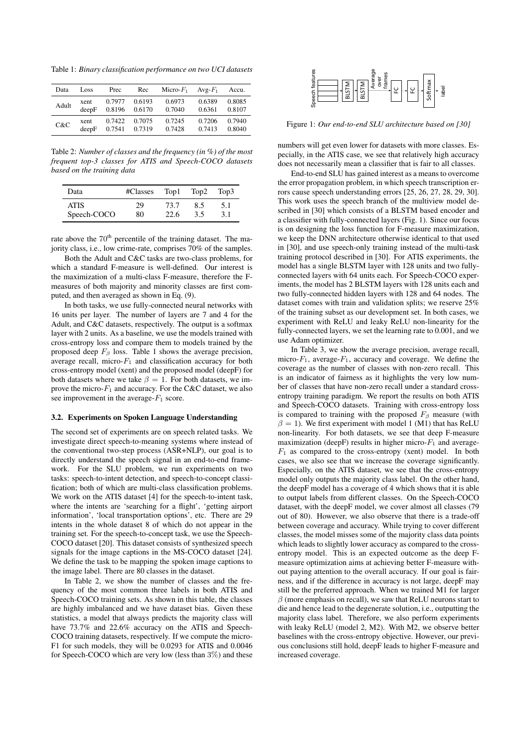Table 1: *Binary classification performance on two UCI datasets*

| Data  | Loss  | Prec   | Rec    | Micro- $F_1$ | Avg- $F_1$ | Accu.  |
|-------|-------|--------|--------|--------------|------------|--------|
| Adult | xent  | 0.7977 | 0.6193 | 0.6973       | 0.6389     | 0.8085 |
|       | deepF | 0.8196 | 0.6170 | 0.7040       | 0.6361     | 0.8107 |
| C&C   | xent  | 0.7422 | 0.7075 | 0.7245       | 0.7206     | 0.7940 |
|       | deepF | 0.7541 | 0.7319 | 0.7428       | 0.7413     | 0.8040 |

Table 2: *Number of classes and the frequency (in %) of the most frequent top-3 classes for ATIS and Speech-COCO datasets based on the training data*

| Data        | $\#Classes$ Top1 Top2 |      |     | Top3 |
|-------------|-----------------------|------|-----|------|
| <b>ATIS</b> | 29                    | 73.7 | 8.5 | 5.1  |
| Speech-COCO | 80                    | 22.6 | 3.5 | 3.1  |

rate above the  $70<sup>th</sup>$  percentile of the training dataset. The majority class, i.e., low crime-rate, comprises 70% of the samples.

Both the Adult and C&C tasks are two-class problems, for which a standard F-measure is well-defined. Our interest is the maximization of a multi-class F-measure, therefore the Fmeasures of both majority and minority classes are first computed, and then averaged as shown in Eq. (9).

In both tasks, we use fully-connected neural networks with 16 units per layer. The number of layers are 7 and 4 for the Adult, and C&C datasets, respectively. The output is a softmax layer with 2 units. As a baseline, we use the models trained with cross-entropy loss and compare them to models trained by the proposed deep  $F<sub>β</sub>$  loss. Table 1 shows the average precision, average recall, micro- $F_1$  and classification accuracy for both cross-entropy model (xent) and the proposed model (deepF) for both datasets where we take  $\beta = 1$ . For both datasets, we improve the micro- $F_1$  and accuracy. For the C&C dataset, we also see improvement in the average- $F_1$  score.

#### 3.2. Experiments on Spoken Language Understanding

The second set of experiments are on speech related tasks. We investigate direct speech-to-meaning systems where instead of the conventional two-step process (ASR+NLP), our goal is to directly understand the speech signal in an end-to-end framework. For the SLU problem, we run experiments on two tasks: speech-to-intent detection, and speech-to-concept classification; both of which are multi-class classification problems. We work on the ATIS dataset [4] for the speech-to-intent task, where the intents are 'searching for a flight', 'getting airport information', 'local transportation options', etc. There are 29 intents in the whole dataset 8 of which do not appear in the training set. For the speech-to-concept task, we use the Speech-COCO dataset [20]. This dataset consists of synthesized speech signals for the image captions in the MS-COCO dataset [24]. We define the task to be mapping the spoken image captions to the image label. There are 80 classes in the dataset. Data Law Research (see Fig. 2003) and these Fig. 2003) and the speech of the speech of the speech-COCO which are very low (less than 3%) and the speech-COCO which are very low (less than 3%) and the speech-COCO which are

In Table 2, we show the number of classes and the frequency of the most common three labels in both ATIS and Speech-COCO training sets. As shown in this table, the classes are highly imbalanced and we have dataset bias. Given these statistics, a model that always predicts the majority class will have 73.7% and 22.6% accuracy on the ATIS and Speech-COCO training datasets, respectively. If we compute the micro-F1 for such models, they will be 0.0293 for ATIS and 0.0046



Figure 1: *Our end-to-end SLU architecture based on [30]*

numbers will get even lower for datasets with more classes. Especially, in the ATIS case, we see that relatively high accuracy does not necessarily mean a classifier that is fair to all classes.

End-to-end SLU has gained interest as a means to overcome the error propagation problem, in which speech transcription errors cause speech understanding errors [25, 26, 27, 28, 29, 30]. This work uses the speech branch of the multiview model described in [30] which consists of a BLSTM based encoder and a classifier with fully-connected layers (Fig. 1). Since our focus is on designing the loss function for F-measure maximization, we keep the DNN architecture otherwise identical to that used in [30], and use speech-only training instead of the multi-task training protocol described in [30]. For ATIS experiments, the model has a single BLSTM layer with 128 units and two fullyconnected layers with 64 units each. For Speech-COCO experiments, the model has 2 BLSTM layers with 128 units each and two fully-connected hidden layers with 128 and 64 nodes. The dataset comes with train and validation splits; we reserve 25% of the training subset as our development set. In both cases, we experiment with ReLU and leaky ReLU non-linearity for the fully-connected layers, we set the learning rate to 0.001, and we use Adam optimizer.

In Table 3, we show the average precision, average recall, micro- $F_1$ , average- $F_1$ , accuracy and coverage. We define the coverage as the number of classes with non-zero recall. This is an indicator of fairness as it highlights the very low number of classes that have non-zero recall under a standard crossentropy training paradigm. We report the results on both ATIS and Speech-COCO datasets. Training with cross-entropy loss is compared to training with the proposed  $F_\beta$  measure (with  $\beta = 1$ ). We first experiment with model 1 (M1) that has ReLU non-linearity. For both datasets, we see that deep F-measure maximization (deepF) results in higher micro- $F_1$  and average- $F_1$  as compared to the cross-entropy (xent) model. In both cases, we also see that we increase the coverage significantly. Especially, on the ATIS dataset, we see that the cross-entropy model only outputs the majority class label. On the other hand, the deepF model has a coverage of 4 which shows that it is able to output labels from different classes. On the Speech-COCO dataset, with the deepF model, we cover almost all classes (79 out of 80). However, we also observe that there is a trade-off between coverage and accuracy. While trying to cover different classes, the model misses some of the majority class data points which leads to slightly lower accuracy as compared to the crossentropy model. This is an expected outcome as the deep Fmeasure optimization aims at achieving better F-measure without paying attention to the overall accuracy. If our goal is fairness, and if the difference in accuracy is not large, deepF may still be the preferred approach. When we trained M1 for larger  $\beta$  (more emphasis on recall), we saw that ReLU neurons start to die and hence lead to the degenerate solution, i.e., outputting the majority class label. Therefore, we also perform experiments with leaky ReLU (model 2, M2). With M2, we observe better baselines with the cross-entropy objective. However, our previous conclusions still hold, deepF leads to higher F-measure and increased coverage.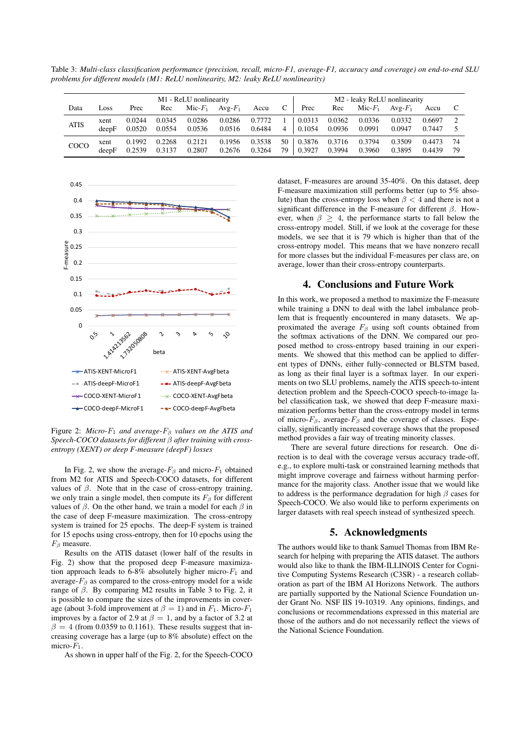Table 3: *Multi-class classification performance (precision, recall, micro-F1, average-F1, accuracy and coverage) on end-to-end SLU problems for different models (M1: ReLU nonlinearity, M2: leaky ReLU nonlinearity)*

| M1 - ReLU nonlinearity |               |                  |                  |                  | M <sub>2</sub> - leaky ReLU nonlinearity |                  |          |                  |                  |                           |                  |                  |          |
|------------------------|---------------|------------------|------------------|------------------|------------------------------------------|------------------|----------|------------------|------------------|---------------------------|------------------|------------------|----------|
| Data                   | Loss          | Prec             | Rec              | Mic- $F_1$       | $Avg-F_1$                                | Accu             | C        | Prec             | Rec              | $\mathrm{Mic}\text{-}F_1$ | $Avg-F_1$        | Accu             |          |
| <b>ATIS</b>            | xent<br>deepF | 0.0244<br>0.0520 | 0.0345<br>0.0554 | 0.0286<br>0.0536 | 0.0286<br>0.0516                         | 0.7772<br>0.6484 | 4        | 0.0313<br>0.1054 | 0.0362<br>0.0936 | 0.0336<br>0.0991          | 0.0332<br>0.0947 | 0.6697<br>0.7447 |          |
| COCO                   | xent<br>deepF | 0.1992<br>0.2539 | 0.2268<br>0.3137 | 0.2121<br>0.2807 | 0.1956<br>0.2676                         | 0.3538<br>0.3264 | 50<br>79 | 0.3876<br>0.3927 | 0.3716<br>0.3994 | 0.3794<br>0.3960          | 0.3509<br>0.3895 | 0.4473<br>0.4439 | 74<br>79 |



Figure 2: *Micro-*F<sup>1</sup> *and average-*F<sup>β</sup> *values on the ATIS and Speech-COCO datasets for different* β *after training with crossentropy (XENT) or deep F-measure (deepF) losses*

In Fig. 2, we show the average- $F_\beta$  and micro- $F_1$  obtained from M2 for ATIS and Speech-COCO datasets, for different values of  $β$ . Note that in the case of cross-entropy training, we only train a single model, then compute its  $F_\beta$  for different values of  $\beta$ . On the other hand, we train a model for each  $\beta$  in the case of deep F-measure maximization. The cross-entropy system is trained for 25 epochs. The deep-F system is trained for 15 epochs using cross-entropy, then for 10 epochs using the  $F_\beta$  measure.

Results on the ATIS dataset (lower half of the results in Fig. 2) show that the proposed deep F-measure maximization approach leads to 6-8% absolutely higher micro- $F_1$  and average- $F_\beta$  as compared to the cross-entropy model for a wide range of  $β$ . By comparing M2 results in Table 3 to Fig. 2, it is possible to compare the sizes of the improvements in coverage (about 3-fold improvement at  $\beta = 1$ ) and in  $F_1$ . Micro- $F_1$ improves by a factor of 2.9 at  $\beta = 1$ , and by a factor of 3.2 at  $\beta = 4$  (from 0.0359 to 0.1161). These results suggest that increasing coverage has a large (up to 8% absolute) effect on the micro- $F_1$ .

As shown in upper half of the Fig. 2, for the Speech-COCO

dataset, F-measures are around 35-40%. On this dataset, deep F-measure maximization still performs better (up to 5% absolute) than the cross-entropy loss when  $\beta < 4$  and there is not a significant difference in the F-measure for different  $\beta$ . However, when  $\beta \geq 4$ , the performance starts to fall below the cross-entropy model. Still, if we look at the coverage for these models, we see that it is 79 which is higher than that of the cross-entropy model. This means that we have nonzero recall for more classes but the individual F-measures per class are, on average, lower than their cross-entropy counterparts.

#### 4. Conclusions and Future Work

In this work, we proposed a method to maximize the F-measure while training a DNN to deal with the label imbalance problem that is frequently encountered in many datasets. We approximated the average  $F_\beta$  using soft counts obtained from the softmax activations of the DNN. We compared our proposed method to cross-entropy based training in our experiments. We showed that this method can be applied to different types of DNNs, either fully-connected or BLSTM based, as long as their final layer is a softmax layer. In our experiments on two SLU problems, namely the ATIS speech-to-intent detection problem and the Speech-COCO speech-to-image label classification task, we showed that deep F-measure maximization performs better than the cross-entropy model in terms of micro- $F_\beta$ , average- $F_\beta$  and the coverage of classes. Especially, significantly increased coverage shows that the proposed method provides a fair way of treating minority classes.

There are several future directions for research. One direction is to deal with the coverage versus accuracy trade-off, e.g., to explore multi-task or constrained learning methods that might improve coverage and fairness without harming performance for the majority class. Another issue that we would like to address is the performance degradation for high  $\beta$  cases for Speech-COCO. We also would like to perform experiments on larger datasets with real speech instead of synthesized speech.

#### 5. Acknowledgments

The authors would like to thank Samuel Thomas from IBM Research for helping with preparing the ATIS dataset. The authors would also like to thank the IBM-ILLINOIS Center for Cognitive Computing Systems Research (C3SR) - a research collaboration as part of the IBM AI Horizons Network. The authors are partially supported by the National Science Foundation under Grant No. NSF IIS 19-10319. Any opinions, findings, and conclusions or recommendations expressed in this material are those of the authors and do not necessarily reflect the views of the National Science Foundation.